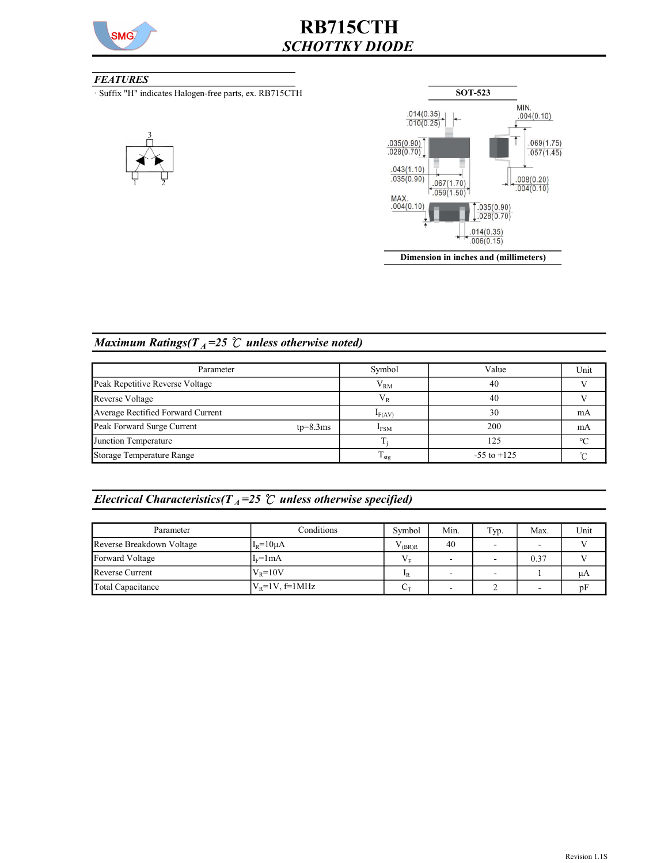

# RB715CTH SCHOTTKY DIODE

### **FEATURES**

· Suffix "H" indicates Halogen-free parts, ex. RB715CTH





### Maximum Ratings( $T_A = 25$  °C unless otherwise noted)

| Parameter                                | Symbol        | Value           | Unit    |
|------------------------------------------|---------------|-----------------|---------|
| Peak Repetitive Reverse Voltage          | $V_{RM}$      | 40              |         |
| Reverse Voltage                          | $\rm V_R$     | 40              |         |
| Average Rectified Forward Current        | $I_{F(AV)}$   | 30              | mA      |
| Peak Forward Surge Current<br>$tp=8.3ms$ | $I_{FSM}$     | 200             | mA      |
| Junction Temperature                     |               | 125             | $\circ$ |
| Storage Temperature Range                | $T_{\rm stg}$ | $-55$ to $+125$ |         |

## Electrical Characteristics( $T_A$ =25  $\degree$ C unless otherwise specified)

| Parameter                 | Conditions        | Symbol         | Min. | Typ. | Max. | Unit |
|---------------------------|-------------------|----------------|------|------|------|------|
| Reverse Breakdown Voltage | $I_R = 10 \mu A$  | (BR)R          | 40   |      |      |      |
| Forward Voltage           | $I_F = 1mA$       | V <sub>v</sub> |      | -    | 0.37 |      |
| <b>Reverse Current</b>    | $V_R = 10V$       | $_{\rm 1R}$    |      |      |      | μA   |
| Total Capacitance         | $ V_R=1V, f=1MHz$ | $\sim$ T       |      |      |      | 'nН  |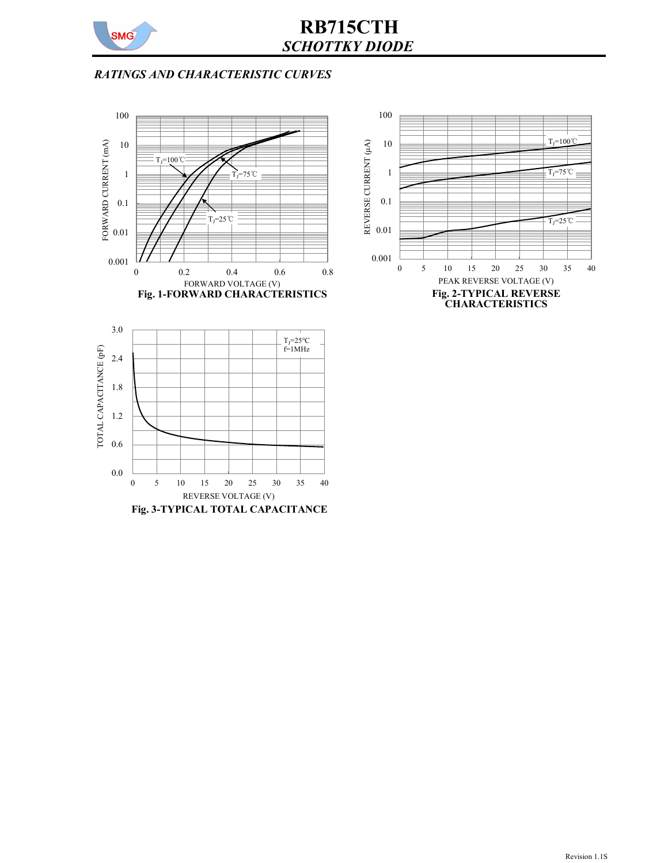

## RB715CTH SCHOTTKY DIODE

## RATINGS AND CHARACTERISTIC CURVES





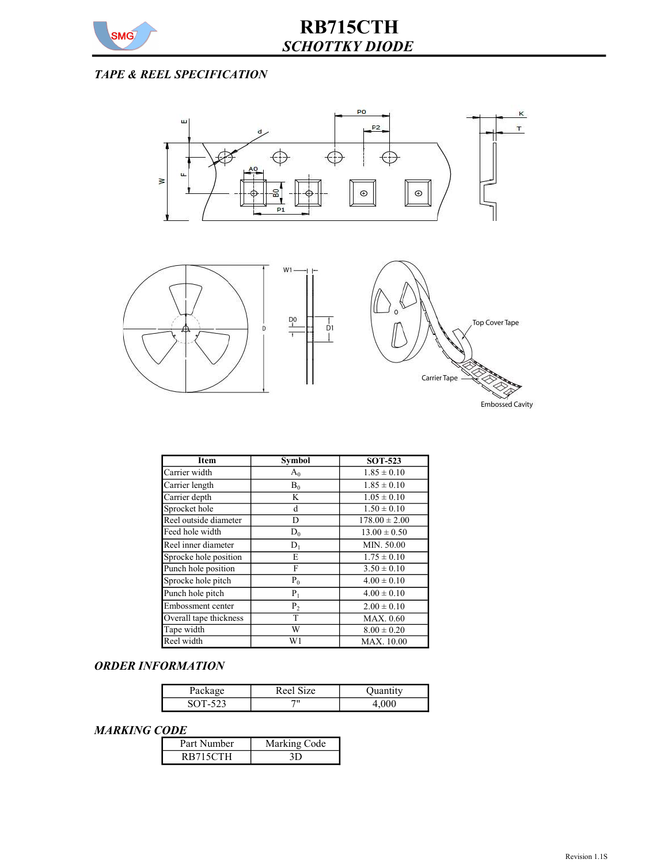

## TAPE & REEL SPECIFICATION



| <b>Item</b>            | <b>Symbol</b>  | <b>SOT-523</b>    |
|------------------------|----------------|-------------------|
| Carrier width          | $A_0$          | $1.85 \pm 0.10$   |
| Carrier length         | $\mathbf{B}_0$ | $1.85 \pm 0.10$   |
| Carrier depth          | K              | $1.05 \pm 0.10$   |
| Sprocket hole          | d              | $1.50 \pm 0.10$   |
| Reel outside diameter  | D              | $178.00 \pm 2.00$ |
| Feed hole width        | $D_0$          | $13.00 \pm 0.50$  |
| Reel inner diameter    | $D_1$          | MIN. 50.00        |
| Sprocke hole position  | Е              | $1.75 \pm 0.10$   |
| Punch hole position    | F              | $3.50 \pm 0.10$   |
| Sprocke hole pitch     | $P_0$          | $4.00 \pm 0.10$   |
| Punch hole pitch       | $P_1$          | $4.00 \pm 0.10$   |
| Embossment center      | P <sub>2</sub> | $2.00 \pm 0.10$   |
| Overall tape thickness | T              | MAX. 0.60         |
| Tape width             | W              | $8.00 \pm 0.20$   |
| Reel width             | W1             | <b>MAX.</b> 10.00 |

### ORDER INFORMATION

| Package | Reel Size | Juantity |
|---------|-----------|----------|
| SOT-523 | 711       |          |

#### MARKING CODE

| .           |              |  |
|-------------|--------------|--|
| Part Number | Marking Code |  |
| RB715CTH    |              |  |